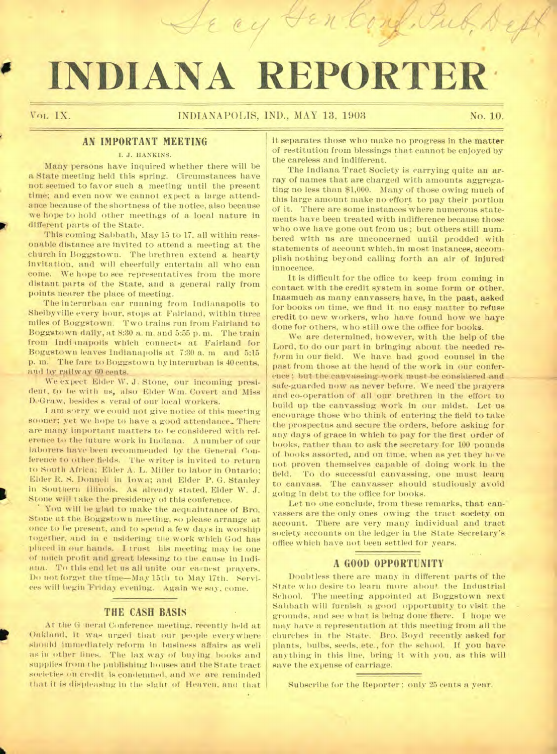# **INDIANA REPORTER**

## Vol, IX. INDIANAPOLIS, IND., MAY 13, 1903 No. 10.

## **AN IMPORTANT MEETING**

I. J. HANKINS.

Many persons have inquired whether there will be a State meeting held this spring. Circumstances have not seemed to favor such a meeting until the present time; and even now we cannot expect a large attendance because of the shortness of the notice, also because we hope to hold other meetings of a local nature in different parts of the State.

This coming Sabbath, May 15 to 17, all within reasonable distance are invited to attend a meeting at the church in Boggstown. The brethren extend a hearty invitation, and will cheerfully entertain all who can come. We hope to see representatives from the more distant parts of the State, and a general rally from points nearer the place of meeting.

The interurban car running from Indianapolis to Shelbyville every hour, stops at Fairland, within three miles of Boggstown. Two trains run from Eairland to Boggstown daily, at 8:30 a. m..and 5:55 p.m. The train from Indianapolis which connects at Fairland for Boggstown leaves Indianapolis at 7:30 a. m and 5:15 p. m. The fare to Boggstown by interurban is 40 cents, and by railway 60 cents.

We expect Elder W. J. Stone, our incoming president, to be with us, also Elder Wm. Covert and Miss DeGraw, besides s veral of our local workers.

I am sorry we could not give notice of this meeting sooner; yet we hope to have a good attendance. There are many important matters to be considered with reference to the future work in Indiana. A number of our laborers have been recommended by the General Conference to other fields. The writer is invited to return to South Africa; Elder A. L. Miller to labor in Ontario; Elder R. S. Donnell in Iowa; and Elder P. G. Stanley in Southern Illinois. As already stated, Elder W. J. Stone will take the presidency of this conference.

• You will lie glad to make the acquaintance of Bro. Stone at the Boggstown meeting, so please arrange at once to be present, and to spend a few days in worship together, and in c nsidering the Work which God has placed in our hands. I trust his meeting may. be one of much profit and great blessing to the cause in Indiana. To this end let us all unite our earnest prayers. Do not forget the time—May 15th to May 17th. Services will begin Friday evening. Again we say, come.

#### **THE CASH BASIS**

At the G neral Conference meeting, recently held at Oakland, it was urged that our people everywhere should immediately reform in business affairs as well as in other lines. The lax way of buying books and supplies from the publishing houses and the State tract societies on credit is condemned, and we are reminded that it is displeasing in the sight of Heaven, and that

p

it separates those who make no progress in the matter of restitution from blessings that cannot be enjoyed by the careless and indifferent.

The Indiana Tract Society is carrying quite an array of names that are charged with amounts aggregating no less than \$1,000. Many of those owing much of this large amount make no effort to pay their portion of it. There are some instances where numerous statements have been treated with indifference because those who owe have gone out from us; but others still numbered with us are unconcerned until prodded with statements of account which, in most instances, accomplish nothing beyond calling forth an air of injured innocence.

It is difficult for the office to keep from coming in contact with the credit system in some form or other. Inasmuch as many canvassers have, in the past, asked for books on time, we find it no easy matter to refuse credit to new workers, who have found how we haye done for others, who still owe the office for books.

We are determined, bowever, with the help of the Lord, to do our part in bringing about the needed reform in our field. We have. had good counsel in the past from those at the head of the work in our conference; but thecauvassing-work must-be considered and safe-guarded now as never before. We need the prayers and co-operation of all our brethren in the effort to build up the canvassing work in our midst. Let us encourage those who think of entering the field to take the prospectus and secure the orders, before asking for any days of grace in which to pay for the first order of books, rather than to ask the secretary for 100 pounds of books assorted, and on time, when as yet they have not proven themselves capable of doing work in the field. To do successful canvassing, one must learn to canvass. The canvasser should studiously avoid going in debt to the office for books.

Let no one conclude, from these remarks, that can-' vassers are the only ones owing the tract society on account. There are very many individual and tract society accounts on the ledger in the State Secretary's office which have not been settled for years.

#### **A GOOD OPPORTUNITY**

Doubtless there are many in different parts of the State who desire to learn more about the Industrial School. The meeting appointed at Boggstown next Sabbath will furnish a good opportunity to visit the grounds, and see what is being done there. I hope we may have a representation at this meeting from all the churches in the State. Bro. Boyd recently asked for plants, bulbs, seeds, etc., for the school. If you have anything in this line, bring it with you, as this will save the expense of carriage.

Subscribe for the Reporter; only 25 cents a year.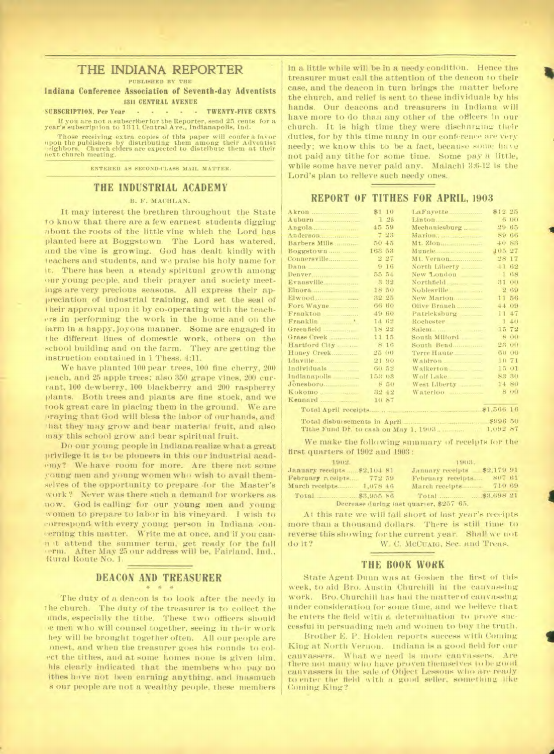## **THE INDIANA REPORTER**

PUBLISHED BY THE

**Indiana Conference Association of Seventh-day Adventists**  1311 CENTRAL AVENUE

SUBSCRIPTION, Per Year - - - - TWENTY-FIVE CENTS

If you are not a subscriberfor the Reporter, send 25 cents for a year's subscription to 1311 Central Ave., Indianapolis, Ind.

Those receiving extra copies of this paper will confer a favor upon the publishers by distributing them among their Adventist next church meeting.

ENTERED AS SECOND-CLASS MAIL MATTER.

#### **THE INDUSTRIAL ACADEMY**

#### B. F. MACHLAN.

It may interest the brethren throughout the State to know that there are a few earnest students digging about the roots of the little vine which the Lord has planted here at Boggstown. The Lord has watered, and the vine is growing. God has dealt kindly with teachers and students, and we praise his holy name for it. There has been a steady spiritual growth among our young people, and their prayer and society meetings are very precious seasons. All express their appreciation of industrial training, and set the seal of t heir approval upon it by co-operating with the teachers in performing the work in the home and on the farm in a happy, joyous manner. Some are engaged in t he different lines of domestic work, others on the school building and on the farm. They are getting the instruction contained in 1 Thess. 4:11.

We have planted 100 pear trees, 100 fine cherry, 200 peach, and 25 apple trees; also 350 grape vines, 200 currant, 100 dewberry, 100 blackberry and 200 raspberry plants. Both trees and plants are fine stock, and we rook great care in placing them in the ground. We are 'praying that God will bless the labor of our hands, and that they may grow and bear material fruit, and also !nay this school grow and bear spiritual fruit.

Do our young people in Indiana realize what a great privilege it is to be pioneers in this our industrial academy? We have room for more. Are there not some young men and young women who wish to avail themselves of the opportunity to prepare for the Master's work ? Never was there such a demand for workers as now. God is calling for our young men and young women to prepare to labor in his vineyard. I wish to correspond with every young person in Indiana concerning this matter. Write me at once, and'if you cannot attend the summer term, get ready for the fall erns. After May 25 our address will be, Fairland, Intl., Rural Route No. 1.

# **DEACON AND TREASURER**

The duty of a deacon is to look after the needy in t he church. The duty of the treasurer is to collect the ands, especially the tithe. These two officers should men who will counsel together, seeing in their work hey will be brought together often. All our people are onest. and when the treasurer goes his rounds to colect the tithes, and at some homes none is given him, his clearly indicated that the members who pay no ithes have not been earning anything, and inasmuch s our people are not a wealthy people, these members in a little while will be in a needy condition. Hence the treasurer must call the attention of the deacon to their case, and the deacon in turn brings the matter before the church, and relief is sent to these individuals by his hands. Our deacons and treasurers in Indiana will have more to do than any other of the officers in our church. It is high time they were discharging their duties, for by this time many in our conference are very needy; we know this to be a fact, because some have not paid any tithe for some time. Some pay a little, while some have never paid any. Malachi 3:6-12 is the Lord's plan to relieve such needy ones.

#### **REPORT OF TITHES FOR APRIL, 1903**

| Akron         | \$1 10 | LaFayette     | \$12 25      |
|---------------|--------|---------------|--------------|
| Auburn        | 125    |               | 6 00         |
|               | 45 59  | Mechanicsburg | 29 65        |
| Anderson      | 7.28   | Marion.       | 89 66        |
| Barbers Mills | 50, 45 | Mt. Zion      | $\pm 0.83$   |
| Boggstown     | 163 53 |               | 105 27       |
|               | 227    | Mt. Vernon    | 28 17        |
| Dana          | 916    | North Liberty | $+1.62$      |
|               | 55 54  | New London    | 1.68         |
|               | 3 32   |               | 31 00        |
|               | 18 50  | Noblesville   | 2.69         |
|               | 32 25  | New Marion    | 11 56        |
| Fort Wayne    | 66 60  | Olive Branch  | 44 09        |
| Frankton      | 49 60  | Patricksburg  | 11.47        |
|               | 14 62  |               | 140          |
|               | 18 22  |               | 15 72        |
| Grass Creek   | 11 15  | South Milford | 8 00         |
| Hartford City | 8 16   | South Bend    | 23 00        |
| Honey Creek   | 25 00  | Terre Haute   | 60 00        |
| Idaville      | 21 90  | Waldron       | 10 71        |
|               | 60.52  | Walkerton     | 15 01        |
| Indianapolis  | 153 03 | Wolf Lake     | <b>S2 30</b> |
| Jonesboro     | 8 50   |               | 14 80        |
|               | 32 42  |               | 8 00         |
|               | 10.87  |               |              |
|               |        |               |              |
|               |        |               |              |
|               |        |               | 1,092 87     |

We make the following summary of receipts for the first quarters of 1902 and 1903 :

| 1902.                        | 1903.                                   |
|------------------------------|-----------------------------------------|
| January receipts  \$2,104 81 | January receipts \$2,179 91             |
| February receipts 772 59     | 807 61<br>February receipts             |
|                              | 710 69<br>March receipts                |
|                              |                                         |
|                              | Decrease during last quarter, \$257-65. |

At this rate we will fall short of last year's receipts more than a thousand dollars. There is still time to reverse this showing for the current year. Shall we not do it? W. C. McCuare, Sec. and Treas.

#### **THE BOOK WORK**

State Agent Dunn was at Goshen the first of this week, to aid Bro. Austin Churchill in the canvassing work. Bro. Churchill has had the matter of canvassing under consideration for some time, and we believe that he enters the field with a determination to prove successful in persuading men and women to buy the truth.

Brother E. P. Holden reports success with Coming King at North Vernon. Indiana is a good field for our canvassers. What we need is more canvassers. Are there not many who have proven themselves to be good canvassers in the sale of Object Lessons who are really to enter the field with a good seller, something like Coming King?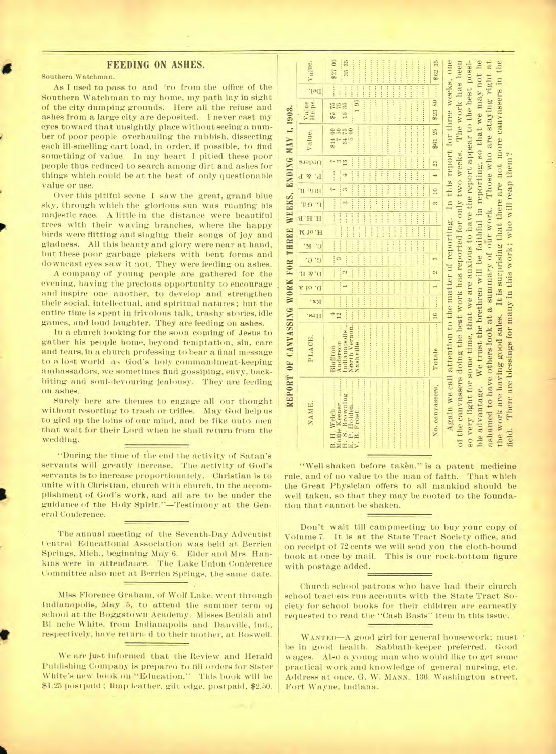### **FEEDING ON ASHES.**

Southern Watchman.

As I used to pass to and fro from the office of the Southern Watchman to my home, my path lay in sight of the city dumping grounds. Here all the refuse and ashes from a large city are deposited. I never east my eyes toward that unsightly place without seeing a number of poor people overhauling the rubbish, dissecting each 111-smelling cart load, in order, if possible, to find something of value. In my heart I pitied these poor people thus reduced to search among dirt and ashes for things which could be at the best of only questionable value or use.

Over this pitiful scene I saw the great, grand blue sky, through which the glorious sun was running his majestic race. A little in the distance were beautiful trees with their waving branches, where the happy birds were flitting and singing their songs of joy and gladness. All this beauty and glory were near at hand, but these poor garbage pickers with bent forms and downcast eyes saw it not. They were feeding on ashes.

A company of young people are gathered for the evening, having the precious opportunity to encourage and inspire one another, to develop and strengthen their social, intellectual, and spiritual natures; but the entire time is spent in frivolous talk, trashy stories, idle games, and loud laughter. They are feeding on ashes.

In a church looking for the soon coming of Jesus to gather his people home, beyond temptation, sin, care and tears, in a church professing to bear a final message to a lot world as God's holy commandment-keeping ambassadors, we sometimes find gossiping, envy, backbiting and soul-devouring jealousy. They are feeding on ashes.

surely here are themes to engage all our thought without resorting to trash or trifles. May God help us to gird up the loins of our mind, and be fike unto men that wait for their Lord when he shall return from the wedding.

"During the time of the end the activity of Satan's servants will greatly increase. The activity of God's servants is to increase proportionately. Christian is to unite with Christian, church with church, in the accomplishment of God's work, and all are to be under the guidance of the Holy Spirit."—Testimony at the General Conference.

The annual meeting of the Seventh-Day Adventist Central Educational Association was held at. Berrien Springs, Mich., beginning May 6. Elder and Mrs. Hankins were in attendance. The Lake Union Conference Committee also met at Berrien Springs, the same date.

Miss Florence Graham, of Wolf Lake, went through Indianapolis, May 5, to attend the summer term of school at the Boggstown Academy. Misses Beulah and B1 ,nche White, from Indianapolis and Danville, Ind., respectively, have return d to their mother, at Boswell.

We are just informed that the Review and Herald Publishing Company is prepared to fill orders for Sister White's new book on "Education." This book will be \$1.25 postpaid ; limp loather, gilt edge, post paid, \$2.50.

|                                                                | Value.          | 90 75米<br>35 35<br>                                                                                                        |                 |                                                                                                                                                                                                                                                                                                                                                                                                                                                                                                                                                                                                                                                  |
|----------------------------------------------------------------|-----------------|----------------------------------------------------------------------------------------------------------------------------|-----------------|--------------------------------------------------------------------------------------------------------------------------------------------------------------------------------------------------------------------------------------------------------------------------------------------------------------------------------------------------------------------------------------------------------------------------------------------------------------------------------------------------------------------------------------------------------------------------------------------------------------------------------------------------|
|                                                                | Jel.            | 1.155333<br><br>$-14.444$<br>                                                                                              |                 |                                                                                                                                                                                                                                                                                                                                                                                                                                                                                                                                                                                                                                                  |
|                                                                | Value<br>Helps. | 195<br><b>129 3 4 5 6 7 8 7 8 9 8 9 8 1</b><br><br>85<br>15<br>15<br>15<br><b></b>                                         | 第23 80  第62 35  |                                                                                                                                                                                                                                                                                                                                                                                                                                                                                                                                                                                                                                                  |
|                                                                | Value,          | <b></b><br><b></b><br>222 222 223 224<br>3858                                                                              | 第61 25          |                                                                                                                                                                                                                                                                                                                                                                                                                                                                                                                                                                                                                                                  |
|                                                                | erebro          |                                                                                                                            |                 |                                                                                                                                                                                                                                                                                                                                                                                                                                                                                                                                                                                                                                                  |
|                                                                |                 | <b>ARCHIVE</b><br>$\cdots$<br>++++++<br><br>111111<br><b>STATISTICS</b><br>144411                                          |                 |                                                                                                                                                                                                                                                                                                                                                                                                                                                                                                                                                                                                                                                  |
|                                                                | Bib. R.         | control (control assumed to control prover)<br><b>MARKEY   1999</b><br><br>1000000<br><br><br>10.111<br>------<br><br><br> |                 |                                                                                                                                                                                                                                                                                                                                                                                                                                                                                                                                                                                                                                                  |
|                                                                | r eq.           | $\frac{1}{2}$<br><br><br>,,,,,,<br><br><br><br><b>DO</b>                                                                   |                 |                                                                                                                                                                                                                                                                                                                                                                                                                                                                                                                                                                                                                                                  |
|                                                                | H.H.B           | participal property of the same<br>any or love and<br><b>THEFT</b><br><br><br><b>Address</b><br>                           |                 |                                                                                                                                                                                                                                                                                                                                                                                                                                                                                                                                                                                                                                                  |
|                                                                | M 10.H          | <b>A 4 6 7 7 8 7 8 8</b>                                                                                                   |                 |                                                                                                                                                                                                                                                                                                                                                                                                                                                                                                                                                                                                                                                  |
|                                                                | K.              | <b>APPARENT</b><br><br><br>$+1111$<br><b>Basic</b>                                                                         |                 |                                                                                                                                                                                                                                                                                                                                                                                                                                                                                                                                                                                                                                                  |
|                                                                | $\ddot{\circ}$  | <b>Marine</b><br>ļø<br><b>TERRATE</b>                                                                                      |                 |                                                                                                                                                                                                                                                                                                                                                                                                                                                                                                                                                                                                                                                  |
|                                                                | D. & R          | <b>TANAH</b><br><b>COLOR</b><br>c)                                                                                         | 64              |                                                                                                                                                                                                                                                                                                                                                                                                                                                                                                                                                                                                                                                  |
|                                                                | D. of A         | 1,500,000                                                                                                                  | $\overline{1}$  |                                                                                                                                                                                                                                                                                                                                                                                                                                                                                                                                                                                                                                                  |
|                                                                | Ex:             | <b>ARREST</b>                                                                                                              |                 |                                                                                                                                                                                                                                                                                                                                                                                                                                                                                                                                                                                                                                                  |
|                                                                | 's1H            | $rac{4}{12}$                                                                                                               |                 |                                                                                                                                                                                                                                                                                                                                                                                                                                                                                                                                                                                                                                                  |
| REPORT OF CANVASSING WORK FOR THREE WEEKS, ENDING MAY 1, 1903. | PLACE.          | and the company of the company of<br>North Vernon.<br>Nashville<br>ndiamapolis.<br>Anderson<br>Bluffton                    |                 |                                                                                                                                                                                                                                                                                                                                                                                                                                                                                                                                                                                                                                                  |
|                                                                | NAME.           | Browning<br>B. H. Welch<br>Mollie Keener<br>H. S. Brownin<br>S. Browni<br>P. Holden.<br>Frost.                             | No. canvassers, | Again we call attention to the matter of reporting. In this report for three weeks, one<br>of the canvassers doing the best work has reported for only two weeks. The work has been<br>so very light for some time, that we are anxious to have the report appear to the best possi-<br>ble advantage. We trust the brethren will be faithful in reporting, so that we may not be<br>ashamed to have others look at a summary of our work. Those who are staying right at<br>the work are having good sales. It is surprising that there are not more canvassers in the<br>field. There are blessings for many in this work; who will reap them? |

"Well shaken before taken." is a patent medicine rule, and of no value to the man of faith. That which the Great Physician offers to all mankind should be well taken, so that they may be rooted to the foundation that cannot be shaken.

Don't wait till campmeeting to buy your copy of Volume 7. It is at the State Tract Society office, and on receipt of 72 cents we will send you the cloth-bound book at once by mail. This is our rock-bottom figure with postage added.

Church school patrons who have had their church school teachers run accounts with the State Tract Society for school books for their children are earnestly requested to read the "Cash Basis" item in this issue.

WANTED—A good girl for general housework; must be in good health. Sabbath-keeper preferred. Good wages. Also a young man who would like to get some practical work and knowledge of general nursing, etc. Address at once. G. W. MANN, 136. Washington street, Fort Wayne, Indiana.